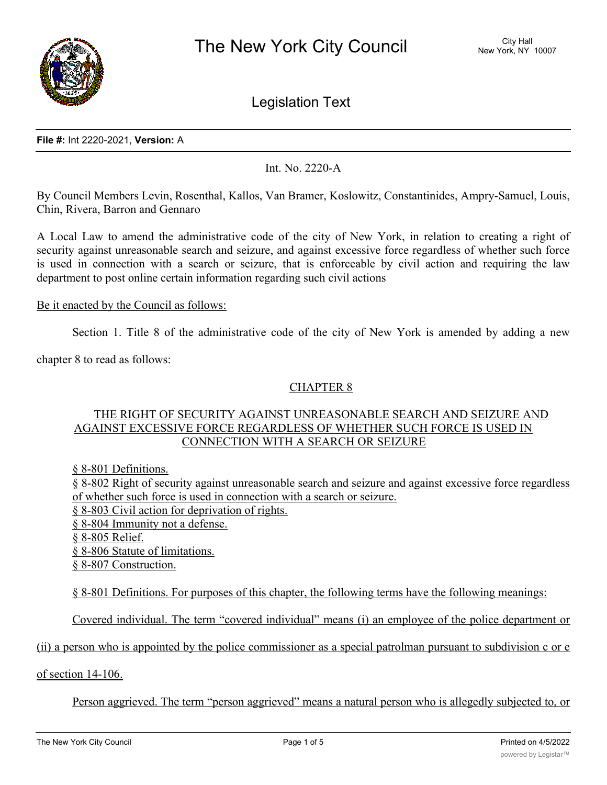

Legislation Text

#### **File #:** Int 2220-2021, **Version:** A

Int. No. 2220-A

By Council Members Levin, Rosenthal, Kallos, Van Bramer, Koslowitz, Constantinides, Ampry-Samuel, Louis, Chin, Rivera, Barron and Gennaro

A Local Law to amend the administrative code of the city of New York, in relation to creating a right of security against unreasonable search and seizure, and against excessive force regardless of whether such force is used in connection with a search or seizure, that is enforceable by civil action and requiring the law department to post online certain information regarding such civil actions

## Be it enacted by the Council as follows:

Section 1. Title 8 of the administrative code of the city of New York is amended by adding a new

chapter 8 to read as follows:

# CHAPTER 8

# THE RIGHT OF SECURITY AGAINST UNREASONABLE SEARCH AND SEIZURE AND AGAINST EXCESSIVE FORCE REGARDLESS OF WHETHER SUCH FORCE IS USED IN CONNECTION WITH A SEARCH OR SEIZURE

§ 8-801 Definitions.

§ 8-802 Right of security against unreasonable search and seizure and against excessive force regardless of whether such force is used in connection with a search or seizure.

- § 8-803 Civil action for deprivation of rights.
- § 8-804 Immunity not a defense.
- § 8-805 Relief.

§ 8-806 Statute of limitations.

§ 8-807 Construction.

§ 8-801 Definitions. For purposes of this chapter, the following terms have the following meanings:

Covered individual. The term "covered individual" means (i) an employee of the police department or

(ii) a person who is appointed by the police commissioner as a special patrolman pursuant to subdivision c or e

of section 14-106.

Person aggrieved. The term "person aggrieved" means a natural person who is allegedly subjected to, or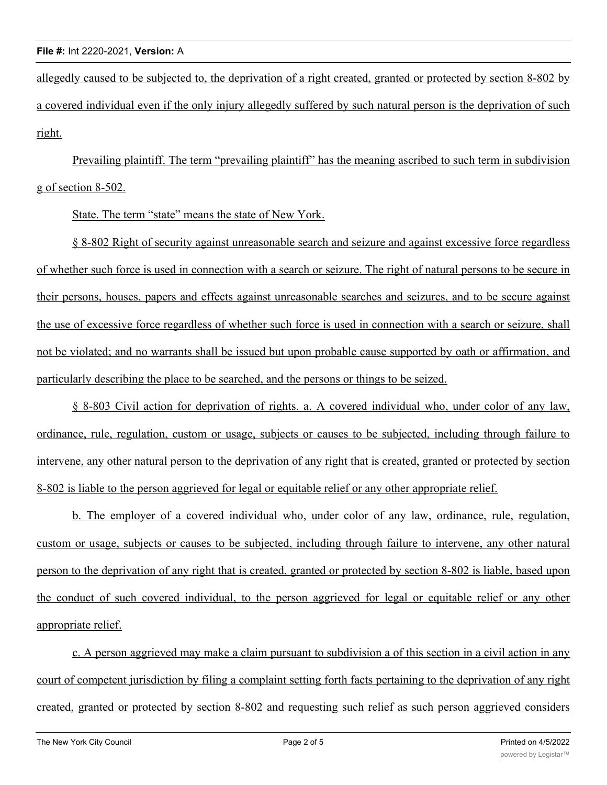allegedly caused to be subjected to, the deprivation of a right created, granted or protected by section 8-802 by a covered individual even if the only injury allegedly suffered by such natural person is the deprivation of such right.

Prevailing plaintiff. The term "prevailing plaintiff" has the meaning ascribed to such term in subdivision g of section 8-502.

State. The term "state" means the state of New York.

§ 8-802 Right of security against unreasonable search and seizure and against excessive force regardless of whether such force is used in connection with a search or seizure. The right of natural persons to be secure in their persons, houses, papers and effects against unreasonable searches and seizures, and to be secure against the use of excessive force regardless of whether such force is used in connection with a search or seizure, shall not be violated; and no warrants shall be issued but upon probable cause supported by oath or affirmation, and particularly describing the place to be searched, and the persons or things to be seized.

§ 8-803 Civil action for deprivation of rights. a. A covered individual who, under color of any law, ordinance, rule, regulation, custom or usage, subjects or causes to be subjected, including through failure to intervene, any other natural person to the deprivation of any right that is created, granted or protected by section 8-802 is liable to the person aggrieved for legal or equitable relief or any other appropriate relief.

b. The employer of a covered individual who, under color of any law, ordinance, rule, regulation, custom or usage, subjects or causes to be subjected, including through failure to intervene, any other natural person to the deprivation of any right that is created, granted or protected by section 8-802 is liable, based upon the conduct of such covered individual, to the person aggrieved for legal or equitable relief or any other appropriate relief.

c. A person aggrieved may make a claim pursuant to subdivision a of this section in a civil action in any court of competent jurisdiction by filing a complaint setting forth facts pertaining to the deprivation of any right created, granted or protected by section 8-802 and requesting such relief as such person aggrieved considers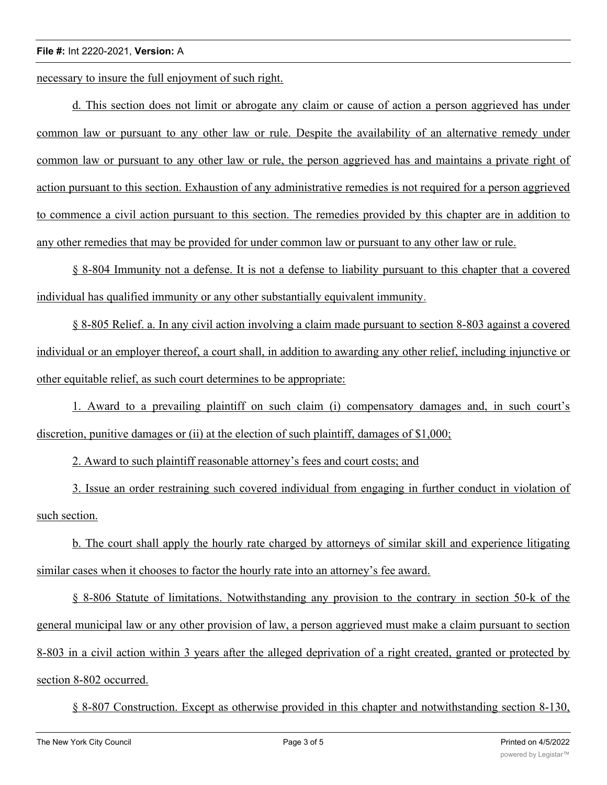#### **File #:** Int 2220-2021, **Version:** A

necessary to insure the full enjoyment of such right.

d. This section does not limit or abrogate any claim or cause of action a person aggrieved has under common law or pursuant to any other law or rule. Despite the availability of an alternative remedy under common law or pursuant to any other law or rule, the person aggrieved has and maintains a private right of action pursuant to this section. Exhaustion of any administrative remedies is not required for a person aggrieved to commence a civil action pursuant to this section. The remedies provided by this chapter are in addition to any other remedies that may be provided for under common law or pursuant to any other law or rule.

§ 8-804 Immunity not a defense. It is not a defense to liability pursuant to this chapter that a covered individual has qualified immunity or any other substantially equivalent immunity.

§ 8-805 Relief. a. In any civil action involving a claim made pursuant to section 8-803 against a covered individual or an employer thereof, a court shall, in addition to awarding any other relief, including injunctive or other equitable relief, as such court determines to be appropriate:

1. Award to a prevailing plaintiff on such claim (i) compensatory damages and, in such court's discretion, punitive damages or (ii) at the election of such plaintiff, damages of \$1,000;

2. Award to such plaintiff reasonable attorney's fees and court costs; and

3. Issue an order restraining such covered individual from engaging in further conduct in violation of such section.

b. The court shall apply the hourly rate charged by attorneys of similar skill and experience litigating similar cases when it chooses to factor the hourly rate into an attorney's fee award.

§ 8-806 Statute of limitations. Notwithstanding any provision to the contrary in section 50-k of the general municipal law or any other provision of law, a person aggrieved must make a claim pursuant to section 8-803 in a civil action within 3 years after the alleged deprivation of a right created, granted or protected by section 8-802 occurred.

§ 8-807 Construction. Except as otherwise provided in this chapter and notwithstanding section 8-130,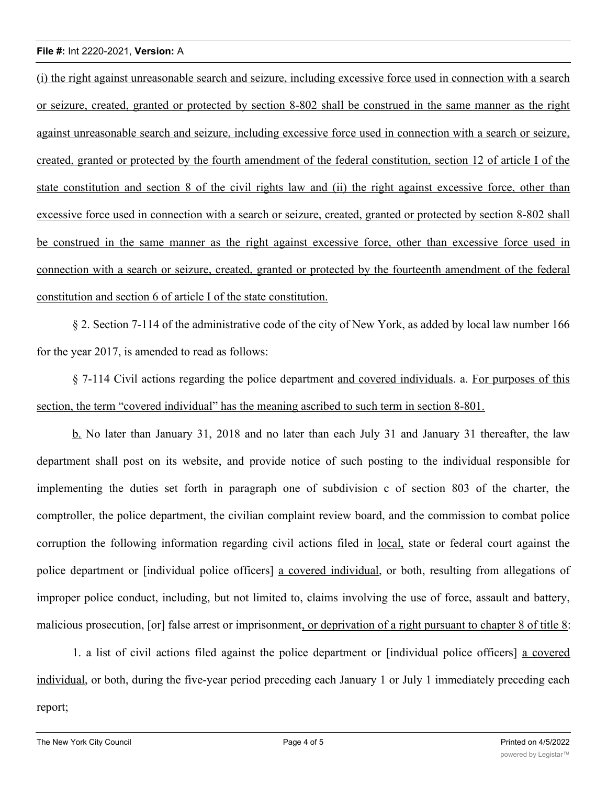### **File #:** Int 2220-2021, **Version:** A

(i) the right against unreasonable search and seizure, including excessive force used in connection with a search or seizure, created, granted or protected by section 8-802 shall be construed in the same manner as the right against unreasonable search and seizure, including excessive force used in connection with a search or seizure, created, granted or protected by the fourth amendment of the federal constitution, section 12 of article I of the state constitution and section 8 of the civil rights law and (ii) the right against excessive force, other than excessive force used in connection with a search or seizure, created, granted or protected by section 8-802 shall be construed in the same manner as the right against excessive force, other than excessive force used in connection with a search or seizure, created, granted or protected by the fourteenth amendment of the federal constitution and section 6 of article I of the state constitution.

§ 2. Section 7-114 of the administrative code of the city of New York, as added by local law number 166 for the year 2017, is amended to read as follows:

§ 7-114 Civil actions regarding the police department and covered individuals. a. For purposes of this section, the term "covered individual" has the meaning ascribed to such term in section 8-801.

b. No later than January 31, 2018 and no later than each July 31 and January 31 thereafter, the law department shall post on its website, and provide notice of such posting to the individual responsible for implementing the duties set forth in paragraph one of subdivision c of section 803 of the charter, the comptroller, the police department, the civilian complaint review board, and the commission to combat police corruption the following information regarding civil actions filed in local, state or federal court against the police department or [individual police officers] a covered individual, or both, resulting from allegations of improper police conduct, including, but not limited to, claims involving the use of force, assault and battery, malicious prosecution, [or] false arrest or imprisonment, or deprivation of a right pursuant to chapter 8 of title 8:

1. a list of civil actions filed against the police department or [individual police officers] a covered individual, or both, during the five-year period preceding each January 1 or July 1 immediately preceding each report;